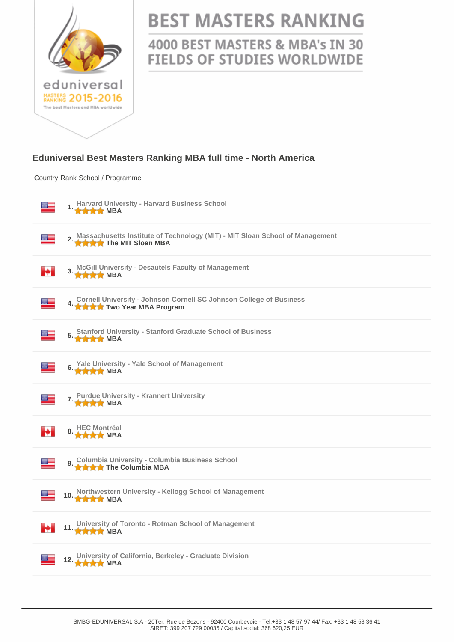

## **BEST MASTERS RANKING**

## 4000 BEST MASTERS & MBA's IN 30 **FIELDS OF STUDIES WORLDWIDE**

## **Eduniversal Best Masters Ranking MBA full time - North America**

Country Rank School / Programme

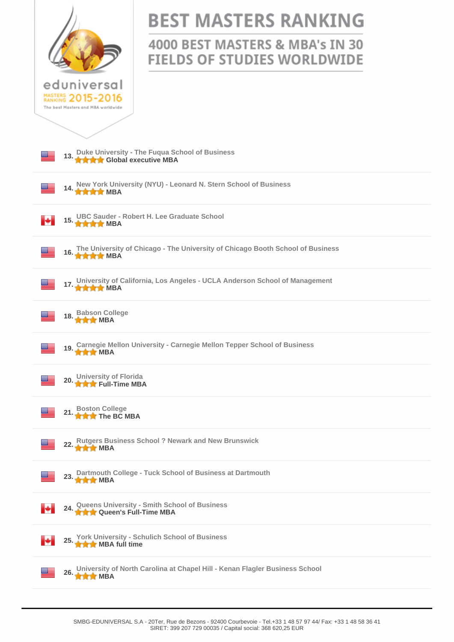|                                                                                                       | <b>BEST MASTERS RANKING</b>                                                    |  |
|-------------------------------------------------------------------------------------------------------|--------------------------------------------------------------------------------|--|
|                                                                                                       | 4000 BEST MASTERS & MBA's IN 30<br><b>FIELDS OF STUDIES WORLDWIDE</b>          |  |
| eduniversal<br>MASTERS 2015-2016<br>The best Masters and MBA worldwide                                |                                                                                |  |
|                                                                                                       |                                                                                |  |
| Duke University - The Fuqua School of Business<br>★★★★ Global executive MBA<br>13.                    |                                                                                |  |
| New York University (NYU) - Leonard N. Stern School of Business<br>14.<br><b>NNNNN</b> BA             |                                                                                |  |
| ₩.<br><b>****</b> MBA                                                                                 | 15. UBC Sauder - Robert H. Lee Graduate School                                 |  |
| 16.<br><b>****</b> MBA                                                                                | The University of Chicago - The University of Chicago Booth School of Business |  |
| University of California, Los Angeles - UCLA Anderson School of Management<br>17.<br><b>NNNNN</b> MBA |                                                                                |  |
| <b>Babson College</b><br><b>THE MBA</b>                                                               |                                                                                |  |
| <b>Carnegie Mellon University - Carnegie Mellon Tepper School of Business</b><br><b>***</b> MBA       |                                                                                |  |
| 20. University of Florida<br>20. The Full-Time MBA                                                    |                                                                                |  |
| <b>Boston College</b><br>21.<br><b>THE THE BC MBA</b>                                                 |                                                                                |  |
| <b>Rutgers Business School ? Newark and New Brunswick</b><br>22.<br><b>THE MBA</b>                    |                                                                                |  |
| Dartmouth College - Tuck School of Business at Dartmouth<br>23.<br><b>***</b> MBA                     |                                                                                |  |
| Queens University - Smith School of Business<br>A A Queen's Full-Time MBA<br>₩<br>24.                 |                                                                                |  |
| <b>York University - Schulich School of Business</b><br>25.<br>F÷.<br><b>A A</b> MBA full time        |                                                                                |  |
| University of North Carolina at Chapel Hill - Kenan Flagler Business School<br>26. MBA                |                                                                                |  |
|                                                                                                       |                                                                                |  |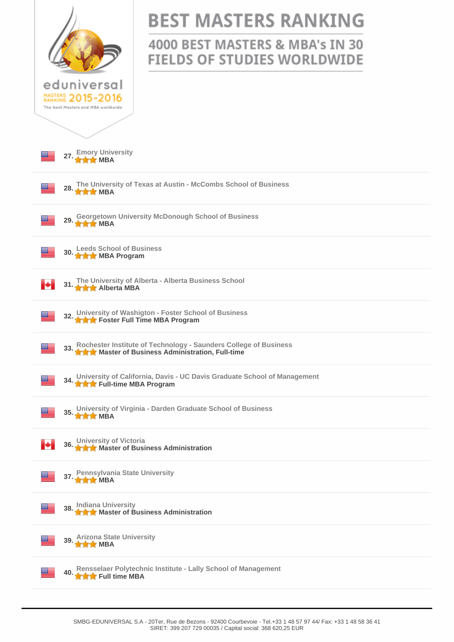|                                                                                                                            | <b>BEST MASTERS RANKING</b><br>4000 BEST MASTERS & MBA's IN 30<br><b>FIELDS OF STUDIES WORLDWIDE</b> |  |
|----------------------------------------------------------------------------------------------------------------------------|------------------------------------------------------------------------------------------------------|--|
| eduniversal<br>MASTERS 2015-2016<br>The best Masters and MBA worldwide                                                     |                                                                                                      |  |
| 27. Emory University                                                                                                       |                                                                                                      |  |
| The University of Texas at Austin - McCombs School of Business<br>28. MBA                                                  |                                                                                                      |  |
| <b>Georgetown University McDonough School of Business</b><br>29.<br><b>***</b> MBA                                         |                                                                                                      |  |
| 30. Leeds School of Business                                                                                               |                                                                                                      |  |
| 31. The University of Alberta - Alberta Business School<br>м                                                               |                                                                                                      |  |
| 32. University of Washigton - Foster School of Business<br>32. A Rester Full Time MBA Program                              |                                                                                                      |  |
| 33. Rochester Institute of Technology - Saunders College of Business<br>33. A Master of Business Administration, Full-time |                                                                                                      |  |
| 34. University of California, Davis - UC Davis Graduate School of Management<br>34. A Rull-time MBA Program                |                                                                                                      |  |
| 35. University of Virginia - Darden Graduate School of Business                                                            |                                                                                                      |  |
| 36. University of Victoria<br>36. A A Master of Business Administration<br>ы                                               |                                                                                                      |  |
| 37. Pennsylvania State University                                                                                          |                                                                                                      |  |
| 38. Indiana University<br>38. A Master of Business Administration                                                          |                                                                                                      |  |
| 39. Arizona State University                                                                                               |                                                                                                      |  |
| Rensselaer Polytechnic Institute - Lally School of Management<br>40. <b>A Full time MBA</b>                                |                                                                                                      |  |
|                                                                                                                            |                                                                                                      |  |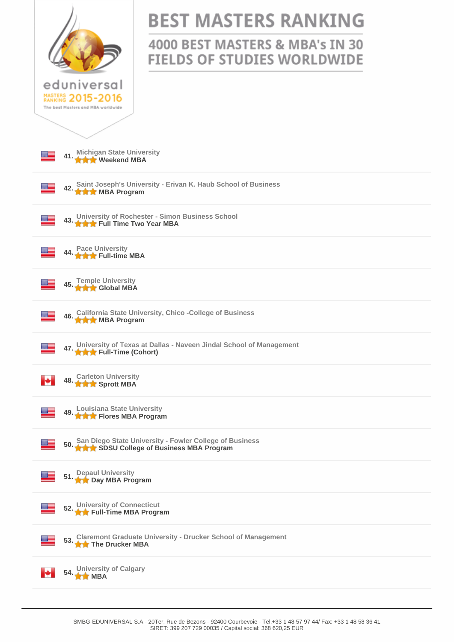|                                                                                                               | <b>BEST MASTERS RANKING</b>                                           |  |
|---------------------------------------------------------------------------------------------------------------|-----------------------------------------------------------------------|--|
|                                                                                                               | 4000 BEST MASTERS & MBA's IN 30<br><b>FIELDS OF STUDIES WORLDWIDE</b> |  |
| eduniversal<br>MASTERS 2015-2016<br>The best Masters and MBA worldwide                                        |                                                                       |  |
| 41. Michigan State University                                                                                 |                                                                       |  |
| A2. Saint Joseph's University - Erivan K. Haub School of Business<br>42. MBA Program                          |                                                                       |  |
| 43. University of Rochester - Simon Business School<br>43. A A Full Time Two Year MBA                         |                                                                       |  |
| 44. Pace University<br>44. The Full-time MBA                                                                  |                                                                       |  |
| 45. Temple University<br><b>THE Global MBA</b>                                                                |                                                                       |  |
| 46. California State University, Chico -College of Business<br>46. WHIMBA Program                             |                                                                       |  |
| 47. University of Texas at Dallas - Naveen Jindal School of Management<br>47. $\star\star$ Full-Time (Cohort) |                                                                       |  |
| 48. Carleton University<br>м                                                                                  |                                                                       |  |
| 49. Louisiana State University<br>49. <b>A Flores MBA Program</b>                                             |                                                                       |  |
| 50. San Diego State University - Fowler College of Business<br>★★★ SDSU College of Business MBA Program       |                                                                       |  |
| 51. Depaul University<br>51. <b>Arts</b> Day MBA Program                                                      |                                                                       |  |
| 52. University of Connecticut<br><b>THE Full-Time MBA Program</b>                                             |                                                                       |  |
| 53. Claremont Graduate University - Drucker School of Management<br>The Drucker MBA                           |                                                                       |  |
| 54. University of Calgary<br>м                                                                                |                                                                       |  |
|                                                                                                               |                                                                       |  |